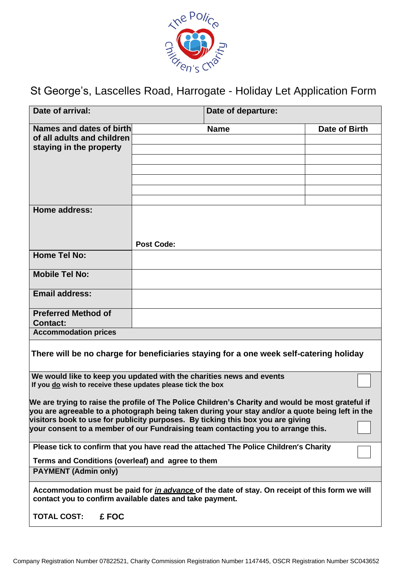

St George's, Lascelles Road, Harrogate - Holiday Let Application Form

| Date of arrival:                                                                                                                                                                                                                                                                                                                                                            |                   | Date of departure: |               |
|-----------------------------------------------------------------------------------------------------------------------------------------------------------------------------------------------------------------------------------------------------------------------------------------------------------------------------------------------------------------------------|-------------------|--------------------|---------------|
| Names and dates of birth                                                                                                                                                                                                                                                                                                                                                    |                   | <b>Name</b>        | Date of Birth |
| of all adults and children                                                                                                                                                                                                                                                                                                                                                  |                   |                    |               |
| staying in the property                                                                                                                                                                                                                                                                                                                                                     |                   |                    |               |
|                                                                                                                                                                                                                                                                                                                                                                             |                   |                    |               |
|                                                                                                                                                                                                                                                                                                                                                                             |                   |                    |               |
|                                                                                                                                                                                                                                                                                                                                                                             |                   |                    |               |
|                                                                                                                                                                                                                                                                                                                                                                             |                   |                    |               |
| <b>Home address:</b>                                                                                                                                                                                                                                                                                                                                                        |                   |                    |               |
|                                                                                                                                                                                                                                                                                                                                                                             |                   |                    |               |
|                                                                                                                                                                                                                                                                                                                                                                             |                   |                    |               |
|                                                                                                                                                                                                                                                                                                                                                                             | <b>Post Code:</b> |                    |               |
| <b>Home Tel No:</b>                                                                                                                                                                                                                                                                                                                                                         |                   |                    |               |
|                                                                                                                                                                                                                                                                                                                                                                             |                   |                    |               |
| <b>Mobile Tel No:</b>                                                                                                                                                                                                                                                                                                                                                       |                   |                    |               |
| <b>Email address:</b>                                                                                                                                                                                                                                                                                                                                                       |                   |                    |               |
|                                                                                                                                                                                                                                                                                                                                                                             |                   |                    |               |
| <b>Preferred Method of</b>                                                                                                                                                                                                                                                                                                                                                  |                   |                    |               |
| <b>Contact:</b>                                                                                                                                                                                                                                                                                                                                                             |                   |                    |               |
| <b>Accommodation prices</b>                                                                                                                                                                                                                                                                                                                                                 |                   |                    |               |
| There will be no charge for beneficiaries staying for a one week self-catering holiday                                                                                                                                                                                                                                                                                      |                   |                    |               |
| We would like to keep you updated with the charities news and events                                                                                                                                                                                                                                                                                                        |                   |                    |               |
| If you do wish to receive these updates please tick the box                                                                                                                                                                                                                                                                                                                 |                   |                    |               |
| We are trying to raise the profile of The Police Children's Charity and would be most grateful if<br>you are agreeable to a photograph being taken during your stay and/or a quote being left in the<br>visitors book to use for publicity purposes. By ticking this box you are giving<br>your consent to a member of our Fundraising team contacting you to arrange this. |                   |                    |               |
| Please tick to confirm that you have read the attached The Police Children's Charity                                                                                                                                                                                                                                                                                        |                   |                    |               |
| Terms and Conditions (overleaf) and agree to them                                                                                                                                                                                                                                                                                                                           |                   |                    |               |
| <b>PAYMENT (Admin only)</b>                                                                                                                                                                                                                                                                                                                                                 |                   |                    |               |
| Accommodation must be paid for <i>in advance</i> of the date of stay. On receipt of this form we will<br>contact you to confirm available dates and take payment.                                                                                                                                                                                                           |                   |                    |               |
| <b>TOTAL COST:</b><br>£ FOC                                                                                                                                                                                                                                                                                                                                                 |                   |                    |               |